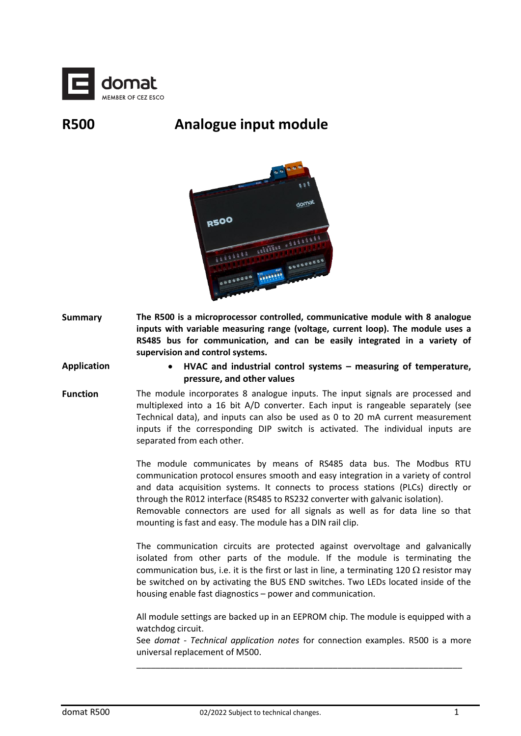

## **R500 Analogue input module**



**Summary The R500 is a microprocessor controlled, communicative module with 8 analogue inputs with variable measuring range (voltage, current loop). The module uses a RS485 bus for communication, and can be easily integrated in a variety of supervision and control systems.**

**Application** • **HVAC and industrial control systems – measuring of temperature, pressure, and other values**

**Function** The module incorporates 8 analogue inputs. The input signals are processed and multiplexed into a 16 bit A/D converter. Each input is rangeable separately (see Technical data), and inputs can also be used as 0 to 20 mA current measurement inputs if the corresponding DIP switch is activated. The individual inputs are separated from each other.

> The module communicates by means of RS485 data bus. The Modbus RTU communication protocol ensures smooth and easy integration in a variety of control and data acquisition systems. It connects to process stations (PLCs) directly or through the R012 interface (RS485 to RS232 converter with galvanic isolation).

> Removable connectors are used for all signals as well as for data line so that mounting is fast and easy. The module has a DIN rail clip.

> The communication circuits are protected against overvoltage and galvanically isolated from other parts of the module. If the module is terminating the communication bus, i.e. it is the first or last in line, a terminating 120  $\Omega$  resistor may be switched on by activating the BUS END switches. Two LEDs located inside of the housing enable fast diagnostics – power and communication.

> All module settings are backed up in an EEPROM chip. The module is equipped with a watchdog circuit.

> See *domat - Technical application notes* for connection examples. R500 is a more universal replacement of M500.

\_\_\_\_\_\_\_\_\_\_\_\_\_\_\_\_\_\_\_\_\_\_\_\_\_\_\_\_\_\_\_\_\_\_\_\_\_\_\_\_\_\_\_\_\_\_\_\_\_\_\_\_\_\_\_\_\_\_\_\_\_\_\_\_\_\_\_\_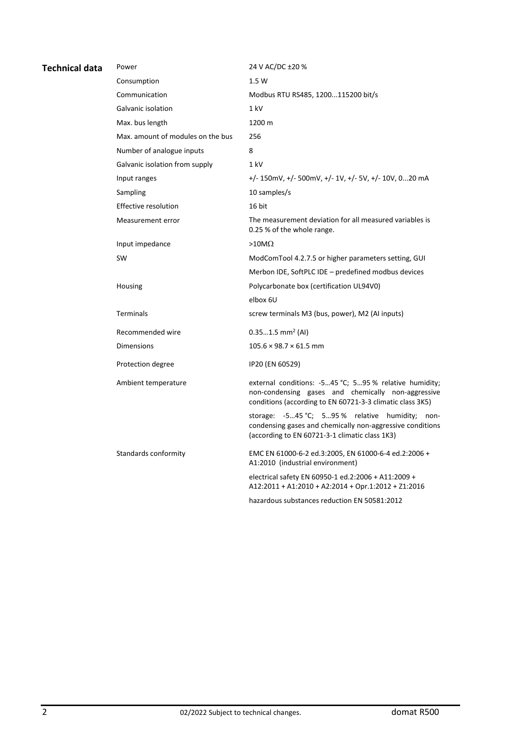| <b>Technical data</b> | Power                             | 24 V AC/DC ±20 %                                                                                                                                                          |
|-----------------------|-----------------------------------|---------------------------------------------------------------------------------------------------------------------------------------------------------------------------|
|                       | Consumption                       | 1.5 W                                                                                                                                                                     |
|                       | Communication                     | Modbus RTU RS485, 1200115200 bit/s                                                                                                                                        |
|                       | Galvanic isolation                | 1 kV                                                                                                                                                                      |
|                       | Max. bus length                   | 1200 m                                                                                                                                                                    |
|                       | Max, amount of modules on the bus | 256                                                                                                                                                                       |
|                       | Number of analogue inputs         | 8                                                                                                                                                                         |
|                       | Galvanic isolation from supply    | 1 kV                                                                                                                                                                      |
|                       | Input ranges                      | +/- 150mV, +/- 500mV, +/- 1V, +/- 5V, +/- 10V, 020 mA                                                                                                                     |
|                       | Sampling                          | 10 samples/s                                                                                                                                                              |
|                       | Effective resolution              | 16 bit                                                                                                                                                                    |
|                       | Measurement error                 | The measurement deviation for all measured variables is<br>0.25 % of the whole range.                                                                                     |
|                       | Input impedance                   | >10M $\Omega$                                                                                                                                                             |
|                       | <b>SW</b>                         | ModComTool 4.2.7.5 or higher parameters setting, GUI                                                                                                                      |
|                       |                                   | Merbon IDE, SoftPLC IDE - predefined modbus devices                                                                                                                       |
|                       | Housing                           | Polycarbonate box (certification UL94V0)                                                                                                                                  |
|                       |                                   | elbox 6U                                                                                                                                                                  |
|                       | <b>Terminals</b>                  | screw terminals M3 (bus, power), M2 (AI inputs)                                                                                                                           |
|                       | Recommended wire                  | $0.351.5$ mm <sup>2</sup> (AI)                                                                                                                                            |
|                       | <b>Dimensions</b>                 | $105.6 \times 98.7 \times 61.5$ mm                                                                                                                                        |
|                       | Protection degree                 | IP20 (EN 60529)                                                                                                                                                           |
|                       | Ambient temperature               | external conditions: -545 °C; 595 % relative humidity;<br>non-condensing gases and chemically non-aggressive<br>conditions (according to EN 60721-3-3 climatic class 3K5) |
|                       |                                   | storage: -545 °C; 595 % relative humidity; non-<br>condensing gases and chemically non-aggressive conditions<br>(according to EN 60721-3-1 climatic class 1K3)            |
|                       | Standards conformity              | EMC EN 61000-6-2 ed.3:2005, EN 61000-6-4 ed.2:2006 +<br>A1:2010 (industrial environment)                                                                                  |
|                       |                                   | electrical safety EN 60950-1 ed.2:2006 + A11:2009 +<br>A12:2011 + A1:2010 + A2:2014 + Opr.1:2012 + Z1:2016                                                                |
|                       |                                   | hazardous substances reduction EN 50581:2012                                                                                                                              |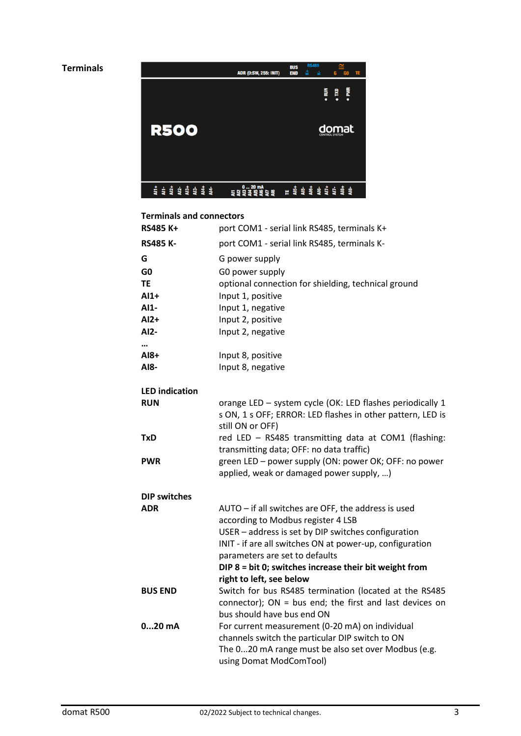

## **Terminals and connectors**

| Terminals and connectors |                                                                                                                                             |
|--------------------------|---------------------------------------------------------------------------------------------------------------------------------------------|
| <b>RS485 K+</b>          | port COM1 - serial link RS485, terminals K+                                                                                                 |
| <b>RS485 K-</b>          | port COM1 - serial link RS485, terminals K-                                                                                                 |
| G                        | G power supply                                                                                                                              |
| G <sub>0</sub>           | G0 power supply                                                                                                                             |
| ΤE                       | optional connection for shielding, technical ground                                                                                         |
| $AI+$                    | Input 1, positive                                                                                                                           |
| AI1-                     | Input 1, negative                                                                                                                           |
| $AI2+$                   | Input 2, positive                                                                                                                           |
| AI2-                     | Input 2, negative                                                                                                                           |
|                          |                                                                                                                                             |
| AI8+                     | Input 8, positive                                                                                                                           |
| AI8-                     | Input 8, negative                                                                                                                           |
| <b>LED</b> indication    |                                                                                                                                             |
| <b>RUN</b>               | orange LED - system cycle (OK: LED flashes periodically 1<br>s ON, 1 s OFF; ERROR: LED flashes in other pattern, LED is<br>still ON or OFF) |
| <b>TxD</b>               | red LED - RS485 transmitting data at COM1 (flashing:<br>transmitting data; OFF: no data traffic)                                            |
| <b>PWR</b>               | green LED - power supply (ON: power OK; OFF: no power<br>applied, weak or damaged power supply, )                                           |
| <b>DIP switches</b>      |                                                                                                                                             |
| <b>ADR</b>               | AUTO - if all switches are OFF, the address is used<br>according to Modbus register 4 LSB                                                   |
|                          | USER - address is set by DIP switches configuration                                                                                         |
|                          | INIT - if are all switches ON at power-up, configuration                                                                                    |
|                          | parameters are set to defaults                                                                                                              |
|                          | DIP 8 = bit 0; switches increase their bit weight from                                                                                      |
|                          | right to left, see below                                                                                                                    |
| <b>BUS END</b>           | Switch for bus RS485 termination (located at the RS485                                                                                      |
|                          | connector); ON = bus end; the first and last devices on                                                                                     |
|                          | bus should have bus end ON                                                                                                                  |
| $020$ mA                 | For current measurement (0-20 mA) on individual                                                                                             |
|                          | channels switch the particular DIP switch to ON<br>The 020 mA range must be also set over Modbus (e.g.                                      |
|                          | using Domat ModComTool)                                                                                                                     |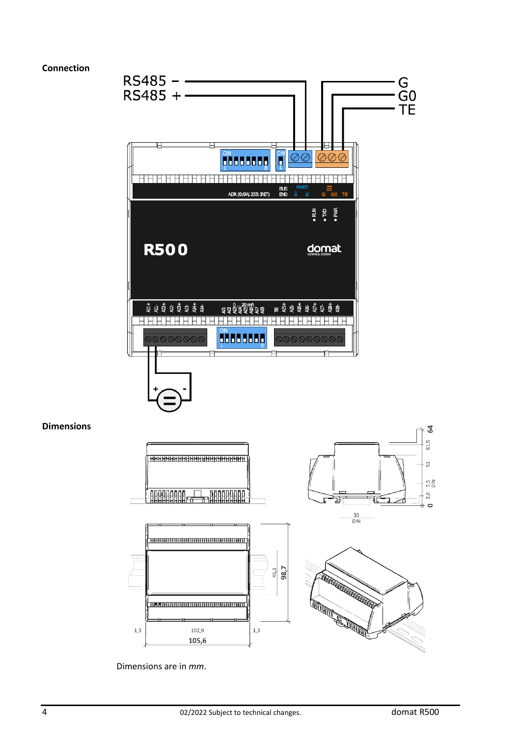## **Connection**

**Dimensions**





Dimensions are in *mm*.

 $1,3$ 

54  $61,5$ 

 $51$ 

 $7,5$  $2,6$ 

 $\sigma$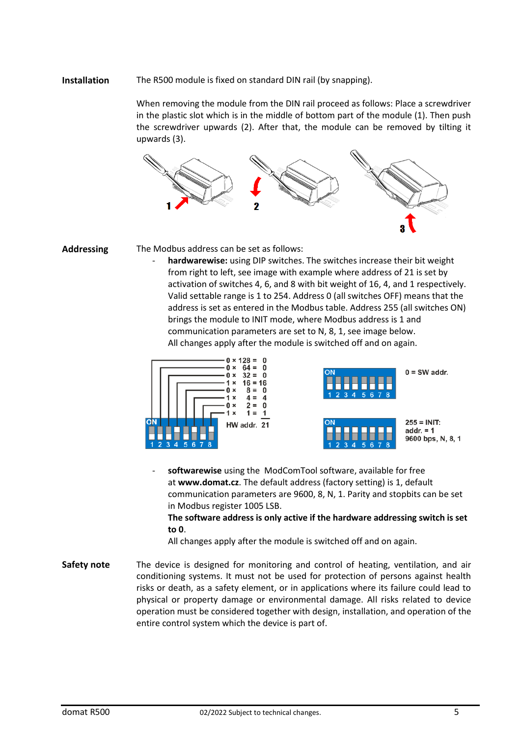## **Installation** The R500 module is fixed on standard DIN rail (by snapping).

When removing the module from the DIN rail proceed as follows: Place a screwdriver in the plastic slot which is in the middle of bottom part of the module (1). Then push the screwdriver upwards (2). After that, the module can be removed by tilting it upwards (3).



**Addressing** The Modbus address can be set as follows:

hardwarewise: using DIP switches. The switches increase their bit weight from right to left, see image with example where address of 21 is set by activation of switches 4, 6, and 8 with bit weight of 16, 4, and 1 respectively. Valid settable range is 1 to 254. Address 0 (all switches OFF) means that the address is set as entered in the Modbus table. Address 255 (all switches ON) brings the module to INIT mode, where Modbus address is 1 and communication parameters are set to N, 8, 1, see image below. All changes apply after the module is switched off and on again.







softwarewise using the ModComTool software, available for free at **www.domat.cz**. The default address (factory setting) is 1, default communication parameters are 9600, 8, N, 1. Parity and stopbits can be set in Modbus register 1005 LSB.

**The software address is only active if the hardware addressing switch is set to 0**.

All changes apply after the module is switched off and on again.

Safety note The device is designed for monitoring and control of heating, ventilation, and air conditioning systems. It must not be used for protection of persons against health risks or death, as a safety element, or in applications where its failure could lead to physical or property damage or environmental damage. All risks related to device operation must be considered together with design, installation, and operation of the entire control system which the device is part of.